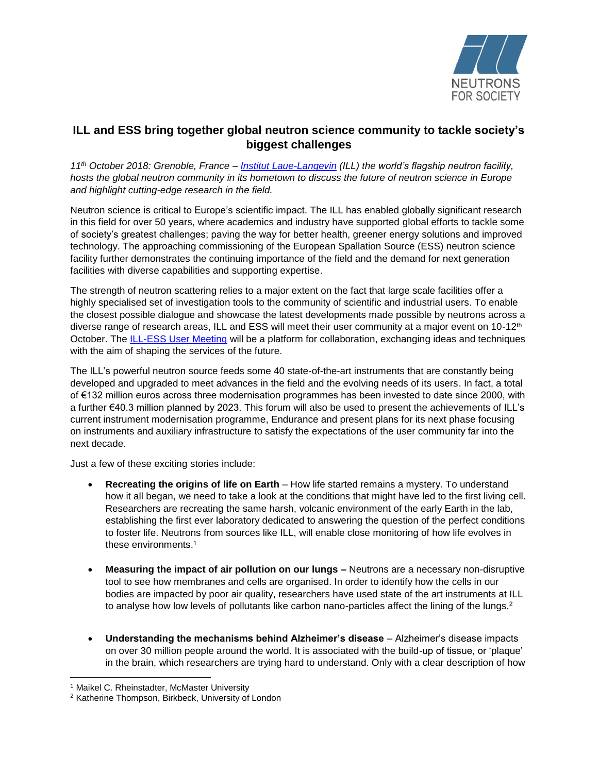

## **ILL and ESS bring together global neutron science community to tackle society's biggest challenges**

*11 th October 2018: Grenoble, France – [Institut Laue-Langevin](https://www.ill.eu/) (ILL) the world's flagship neutron facility, hosts the global neutron community in its hometown to discuss the future of neutron science in Europe and highlight cutting-edge research in the field.* 

Neutron science is critical to Europe's scientific impact. The ILL has enabled globally significant research in this field for over 50 years, where academics and industry have supported global efforts to tackle some of society's greatest challenges; paving the way for better health, greener energy solutions and improved technology. The approaching commissioning of the European Spallation Source (ESS) neutron science facility further demonstrates the continuing importance of the field and the demand for next generation facilities with diverse capabilities and supporting expertise.

The strength of neutron scattering relies to a major extent on the fact that large scale facilities offer a highly specialised set of investigation tools to the community of scientific and industrial users. To enable the closest possible dialogue and showcase the latest developments made possible by neutrons across a diverse range of research areas, ILL and ESS will meet their user community at a major event on 10-12<sup>th</sup> October. The [ILL-ESS User Meeting](http://www.neutrons4europe.com/en/home/4) will be a platform for collaboration, exchanging ideas and techniques with the aim of shaping the services of the future.

The ILL's powerful neutron source feeds some 40 state-of-the-art instruments that are constantly being developed and upgraded to meet advances in the field and the evolving needs of its users. In fact, a total of €132 million euros across three modernisation programmes has been invested to date since 2000, with a further €40.3 million planned by 2023. This forum will also be used to present the achievements of ILL's current instrument modernisation programme, Endurance and present plans for its next phase focusing on instruments and auxiliary infrastructure to satisfy the expectations of the user community far into the next decade.

Just a few of these exciting stories include:

- **Recreating the origins of life on Earth** How life started remains a mystery. To understand how it all began, we need to take a look at the conditions that might have led to the first living cell. Researchers are recreating the same harsh, volcanic environment of the early Earth in the lab, establishing the first ever laboratory dedicated to answering the question of the perfect conditions to foster life. Neutrons from sources like ILL, will enable close monitoring of how life evolves in these environments. 1
- **Measuring the impact of air pollution on our lungs –** Neutrons are a necessary non-disruptive tool to see how membranes and cells are organised. In order to identify how the cells in our bodies are impacted by poor air quality, researchers have used state of the art instruments at ILL to analyse how low levels of pollutants like carbon nano-particles affect the lining of the lungs.<sup>2</sup>
- **Understanding the mechanisms behind Alzheimer's disease** Alzheimer's disease impacts on over 30 million people around the world. It is associated with the build-up of tissue, or 'plaque' in the brain, which researchers are trying hard to understand. Only with a clear description of how

 $\overline{\phantom{a}}$ <sup>1</sup> Maikel C. Rheinstadter, McMaster University

<sup>2</sup> Katherine Thompson, Birkbeck, University of London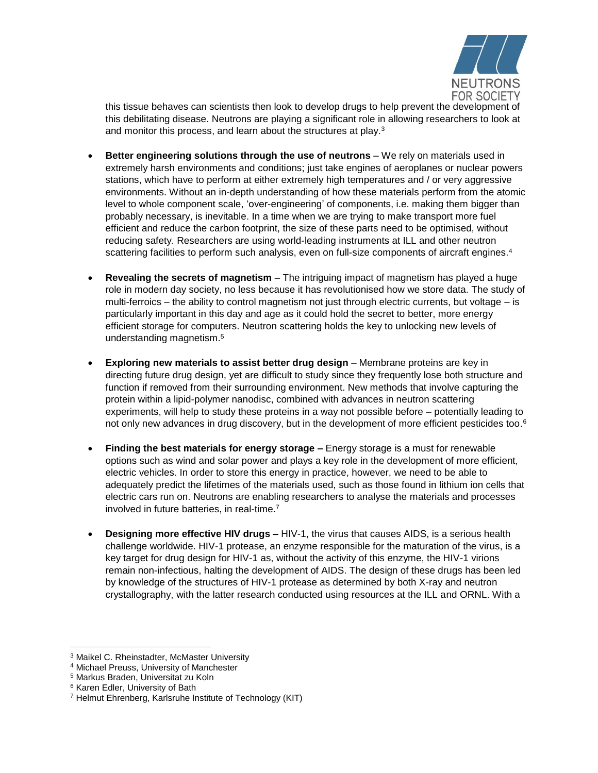

this tissue behaves can scientists then look to develop drugs to help prevent the development of this debilitating disease. Neutrons are playing a significant role in allowing researchers to look at and monitor this process, and learn about the structures at play.<sup>3</sup>

- **Better engineering solutions through the use of neutrons** We rely on materials used in extremely harsh environments and conditions; just take engines of aeroplanes or nuclear powers stations, which have to perform at either extremely high temperatures and / or very aggressive environments. Without an in-depth understanding of how these materials perform from the atomic level to whole component scale, 'over-engineering' of components, i.e. making them bigger than probably necessary, is inevitable. In a time when we are trying to make transport more fuel efficient and reduce the carbon footprint, the size of these parts need to be optimised, without reducing safety. Researchers are using world-leading instruments at ILL and other neutron scattering facilities to perform such analysis, even on full-size components of aircraft engines.<sup>4</sup>
- **Revealing the secrets of magnetism** The intriguing impact of magnetism has played a huge role in modern day society, no less because it has revolutionised how we store data. The study of multi-ferroics – the ability to control magnetism not just through electric currents, but voltage – is particularly important in this day and age as it could hold the secret to better, more energy efficient storage for computers. Neutron scattering holds the key to unlocking new levels of understanding magnetism.<sup>5</sup>
- **Exploring new materials to assist better drug design** Membrane proteins are key in directing future drug design, yet are difficult to study since they frequently lose both structure and function if removed from their surrounding environment. New methods that involve capturing the protein within a lipid-polymer nanodisc, combined with advances in neutron scattering experiments, will help to study these proteins in a way not possible before – potentially leading to not only new advances in drug discovery, but in the development of more efficient pesticides too.<sup>6</sup>
- **Finding the best materials for energy storage –** Energy storage is a must for renewable options such as wind and solar power and plays a key role in the development of more efficient, electric vehicles. In order to store this energy in practice, however, we need to be able to adequately predict the lifetimes of the materials used, such as those found in lithium ion cells that electric cars run on. Neutrons are enabling researchers to analyse the materials and processes involved in future batteries, in real-time.<sup>7</sup>
- **Designing more effective HIV drugs –** HIV-1, the virus that causes AIDS, is a serious health challenge worldwide. HIV-1 protease, an enzyme responsible for the maturation of the virus, is a key target for drug design for HIV-1 as, without the activity of this enzyme, the HIV-1 virions remain non-infectious, halting the development of AIDS. The design of these drugs has been led by knowledge of the structures of HIV-1 protease as determined by both X-ray and neutron crystallography, with the latter research conducted using resources at the ILL and ORNL. With a

 $\overline{\phantom{a}}$ <sup>3</sup> Maikel C. Rheinstadter, McMaster University

<sup>4</sup> Michael Preuss, University of Manchester

<sup>5</sup> Markus Braden, Universitat zu Koln

<sup>6</sup> Karen Edler, University of Bath

<sup>7</sup> Helmut Ehrenberg, Karlsruhe Institute of Technology (KIT)